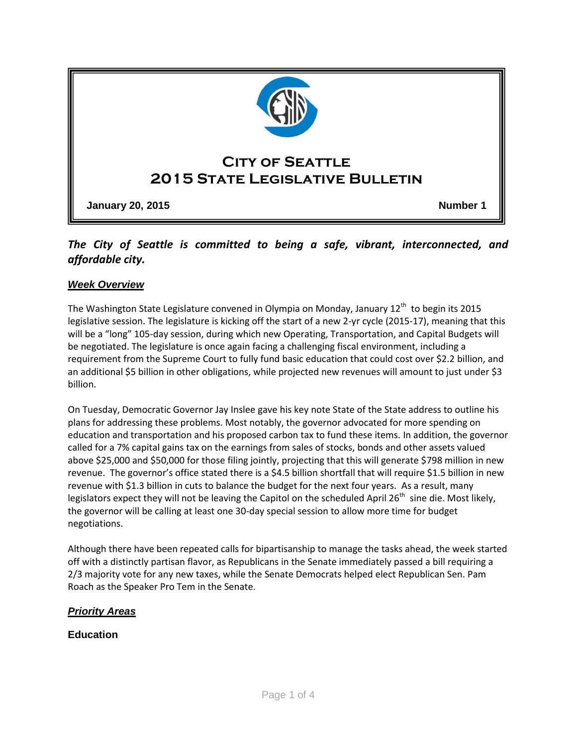

# *The City of Seattle is committed to being a safe, vibrant, interconnected, and affordable city.*

### *Week Overview*

The Washington State Legislature convened in Olympia on Monday, January 12<sup>th</sup> to begin its 2015 legislative session. The legislature is kicking off the start of a new 2-yr cycle (2015-17), meaning that this will be a "long" 105-day session, during which new Operating, Transportation, and Capital Budgets will be negotiated. The legislature is once again facing a challenging fiscal environment, including a requirement from the Supreme Court to fully fund basic education that could cost over \$2.2 billion, and an additional \$5 billion in other obligations, while projected new revenues will amount to just under \$3 billion.

On Tuesday, Democratic Governor Jay Inslee gave his key note State of the State address to outline his plans for addressing these problems. Most notably, the governor advocated for more spending on education and transportation and his proposed carbon tax to fund these items. In addition, the governor called for a 7% capital gains tax on the earnings from sales of stocks, bonds and other assets valued above \$25,000 and \$50,000 for those filing jointly, projecting that this will generate \$798 million in new revenue. The governor's office stated there is a \$4.5 billion shortfall that will require \$1.5 billion in new revenue with \$1.3 billion in cuts to balance the budget for the next four years. As a result, many legislators expect they will not be leaving the Capitol on the scheduled April  $26<sup>th</sup>$  sine die. Most likely, the governor will be calling at least one 30-day special session to allow more time for budget negotiations.

Although there have been repeated calls for bipartisanship to manage the tasks ahead, the week started off with a distinctly partisan flavor, as Republicans in the Senate immediately passed a bill requiring a 2/3 majority vote for any new taxes, while the Senate Democrats helped elect Republican Sen. Pam Roach as the Speaker Pro Tem in the Senate.

### *Priority Areas*

### **Education**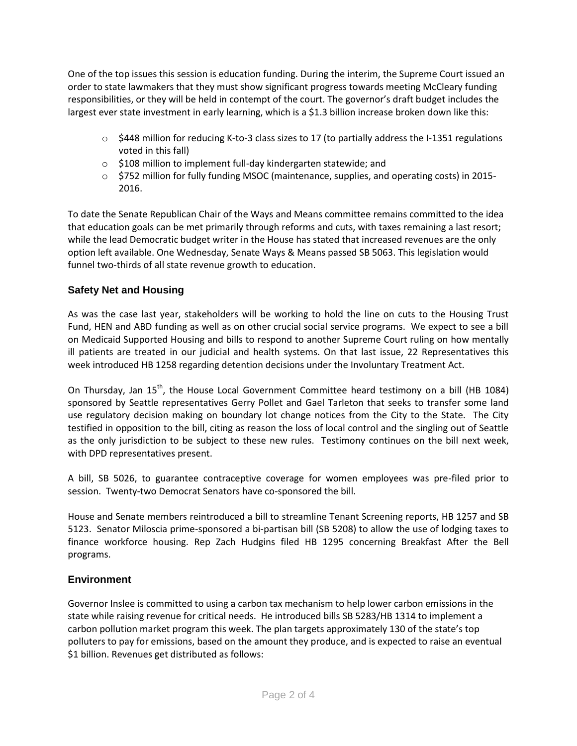One of the top issues this session is education funding. During the interim, the Supreme Court issued an order to state lawmakers that they must show significant progress towards meeting McCleary funding responsibilities, or they will be held in contempt of the court. The governor's draft budget includes the largest ever state investment in early learning, which is a \$1.3 billion increase broken down like this:

- $\circ$  \$448 million for reducing K-to-3 class sizes to 17 (to partially address the I-1351 regulations voted in this fall)
- o \$108 million to implement full-day kindergarten statewide; and
- o \$752 million for fully funding MSOC (maintenance, supplies, and operating costs) in 2015- 2016.

To date the Senate Republican Chair of the Ways and Means committee remains committed to the idea that education goals can be met primarily through reforms and cuts, with taxes remaining a last resort; while the lead Democratic budget writer in the House has stated that increased revenues are the only option left available. One Wednesday, Senate Ways & Means passed SB 5063. This legislation would funnel two-thirds of all state revenue growth to education.

## **Safety Net and Housing**

As was the case last year, stakeholders will be working to hold the line on cuts to the Housing Trust Fund, HEN and ABD funding as well as on other crucial social service programs. We expect to see a bill on Medicaid Supported Housing and bills to respond to another Supreme Court ruling on how mentally ill patients are treated in our judicial and health systems. On that last issue, 22 Representatives this week introduced HB 1258 regarding detention decisions under the Involuntary Treatment Act.

On Thursday, Jan 15<sup>th</sup>, the House Local Government Committee heard testimony on a bill (HB 1084) sponsored by Seattle representatives Gerry Pollet and Gael Tarleton that seeks to transfer some land use regulatory decision making on boundary lot change notices from the City to the State. The City testified in opposition to the bill, citing as reason the loss of local control and the singling out of Seattle as the only jurisdiction to be subject to these new rules. Testimony continues on the bill next week, with DPD representatives present.

A bill, SB 5026, to guarantee contraceptive coverage for women employees was pre-filed prior to session. Twenty-two Democrat Senators have co-sponsored the bill.

House and Senate members reintroduced a bill to streamline Tenant Screening reports, HB 1257 and SB 5123. Senator Miloscia prime-sponsored a bi-partisan bill (SB 5208) to allow the use of lodging taxes to finance workforce housing. Rep Zach Hudgins filed HB 1295 concerning Breakfast After the Bell programs.

## **Environment**

Governor Inslee is committed to using a carbon tax mechanism to help lower carbon emissions in the state while raising revenue for critical needs. He introduced bills SB 5283/HB 1314 to implement a carbon pollution market program this week. The plan targets approximately 130 of the state's top polluters to pay for emissions, based on the amount they produce, and is expected to raise an eventual \$1 billion. Revenues get distributed as follows: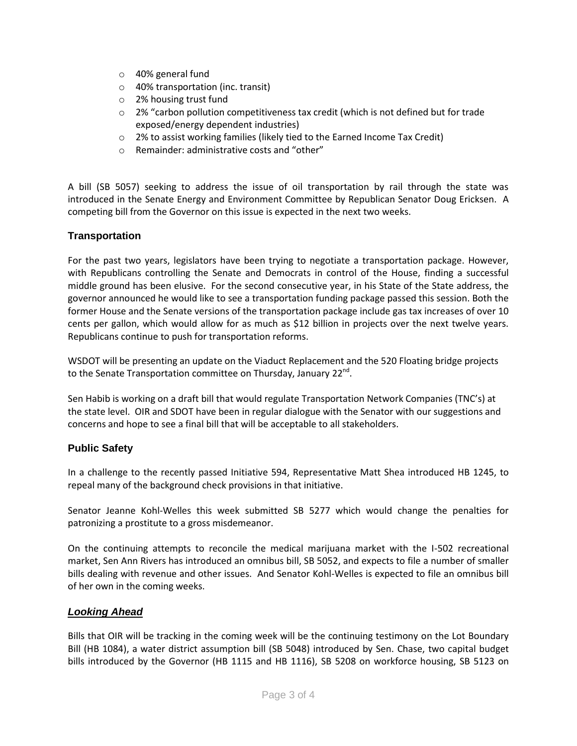- o 40% general fund
- o 40% transportation (inc. transit)
- o 2% housing trust fund
- o 2% "carbon pollution competitiveness tax credit (which is not defined but for trade exposed/energy dependent industries)
- o 2% to assist working families (likely tied to the Earned Income Tax Credit)
- o Remainder: administrative costs and "other"

A bill (SB 5057) seeking to address the issue of oil transportation by rail through the state was introduced in the Senate Energy and Environment Committee by Republican Senator Doug Ericksen. A competing bill from the Governor on this issue is expected in the next two weeks.

### **Transportation**

For the past two years, legislators have been trying to negotiate a transportation package. However, with Republicans controlling the Senate and Democrats in control of the House, finding a successful middle ground has been elusive. For the second consecutive year, in his State of the State address, the governor announced he would like to see a transportation funding package passed this session. Both the former House and the Senate versions of the transportation package include gas tax increases of over 10 cents per gallon, which would allow for as much as \$12 billion in projects over the next twelve years. Republicans continue to push for transportation reforms.

WSDOT will be presenting an update on the Viaduct Replacement and the 520 Floating bridge projects to the Senate Transportation committee on Thursday, January 22<sup>nd</sup>.

Sen Habib is working on a draft bill that would regulate Transportation Network Companies (TNC's) at the state level. OIR and SDOT have been in regular dialogue with the Senator with our suggestions and concerns and hope to see a final bill that will be acceptable to all stakeholders.

### **Public Safety**

In a challenge to the recently passed Initiative 594, Representative Matt Shea introduced HB 1245, to repeal many of the background check provisions in that initiative.

Senator Jeanne Kohl-Welles this week submitted SB 5277 which would change the penalties for patronizing a prostitute to a gross misdemeanor.

On the continuing attempts to reconcile the medical marijuana market with the I-502 recreational market, Sen Ann Rivers has introduced an omnibus bill, SB 5052, and expects to file a number of smaller bills dealing with revenue and other issues. And Senator Kohl-Welles is expected to file an omnibus bill of her own in the coming weeks.

### *Looking Ahead*

Bills that OIR will be tracking in the coming week will be the continuing testimony on the Lot Boundary Bill (HB 1084), a water district assumption bill (SB 5048) introduced by Sen. Chase, two capital budget bills introduced by the Governor (HB 1115 and HB 1116), SB 5208 on workforce housing, SB 5123 on